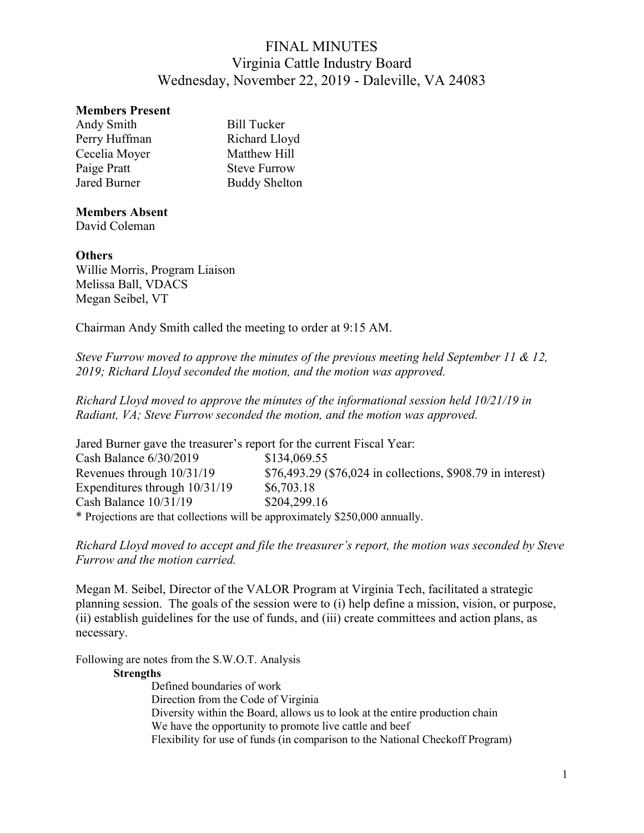## Members Present

| Andy Smith    | <b>Bill Tucker</b>   |
|---------------|----------------------|
| Perry Huffman | Richard Lloyd        |
| Cecelia Moyer | Matthew Hill         |
| Paige Pratt   | <b>Steve Furrow</b>  |
| Jared Burner  | <b>Buddy Shelton</b> |

## Members Absent

David Coleman

## **Others**

Willie Morris, Program Liaison Melissa Ball, VDACS Megan Seibel, VT

Chairman Andy Smith called the meeting to order at 9:15 AM.

Steve Furrow moved to approve the minutes of the previous meeting held September 11 & 12, 2019; Richard Lloyd seconded the motion, and the motion was approved.

Richard Lloyd moved to approve the minutes of the informational session held 10/21/19 in Radiant, VA; Steve Furrow seconded the motion, and the motion was approved.

| Jared Burner gave the treasurer's report for the current Fiscal Year:        |                                                             |
|------------------------------------------------------------------------------|-------------------------------------------------------------|
| Cash Balance 6/30/2019                                                       | \$134,069.55                                                |
| Revenues through 10/31/19                                                    | \$76,493.29 (\$76,024 in collections, \$908.79 in interest) |
| Expenditures through 10/31/19                                                | \$6,703.18                                                  |
| Cash Balance 10/31/19                                                        | \$204,299.16                                                |
| * Projections are that collections will be approximately \$250,000 annually. |                                                             |

Richard Lloyd moved to accept and file the treasurer's report, the motion was seconded by Steve Furrow and the motion carried.

Megan M. Seibel, Director of the VALOR Program at Virginia Tech, facilitated a strategic planning session. The goals of the session were to (i) help define a mission, vision, or purpose, (ii) establish guidelines for the use of funds, and (iii) create committees and action plans, as necessary.

Following are notes from the S.W.O.T. Analysis

## **Strengths**

Defined boundaries of work Direction from the Code of Virginia Diversity within the Board, allows us to look at the entire production chain We have the opportunity to promote live cattle and beef Flexibility for use of funds (in comparison to the National Checkoff Program)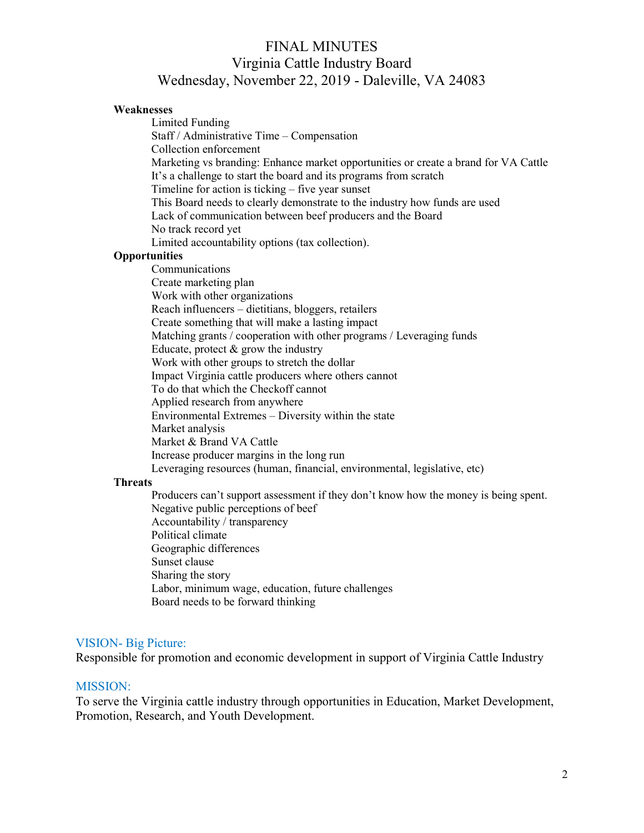### Weaknesses

 Limited Funding Staff / Administrative Time – Compensation Collection enforcement Marketing vs branding: Enhance market opportunities or create a brand for VA Cattle It's a challenge to start the board and its programs from scratch Timeline for action is ticking – five year sunset This Board needs to clearly demonstrate to the industry how funds are used Lack of communication between beef producers and the Board No track record yet Limited accountability options (tax collection). **Opportunities**  Communications Create marketing plan Work with other organizations Reach influencers – dietitians, bloggers, retailers Create something that will make a lasting impact Matching grants / cooperation with other programs / Leveraging funds Educate, protect  $&$  grow the industry Work with other groups to stretch the dollar Impact Virginia cattle producers where others cannot To do that which the Checkoff cannot Applied research from anywhere Environmental Extremes – Diversity within the state Market analysis Market & Brand VA Cattle Increase producer margins in the long run Leveraging resources (human, financial, environmental, legislative, etc)

## **Threats**

 Producers can't support assessment if they don't know how the money is being spent. Negative public perceptions of beef Accountability / transparency Political climate Geographic differences Sunset clause Sharing the story Labor, minimum wage, education, future challenges Board needs to be forward thinking

### VISION- Big Picture:

Responsible for promotion and economic development in support of Virginia Cattle Industry

#### MISSION:

To serve the Virginia cattle industry through opportunities in Education, Market Development, Promotion, Research, and Youth Development.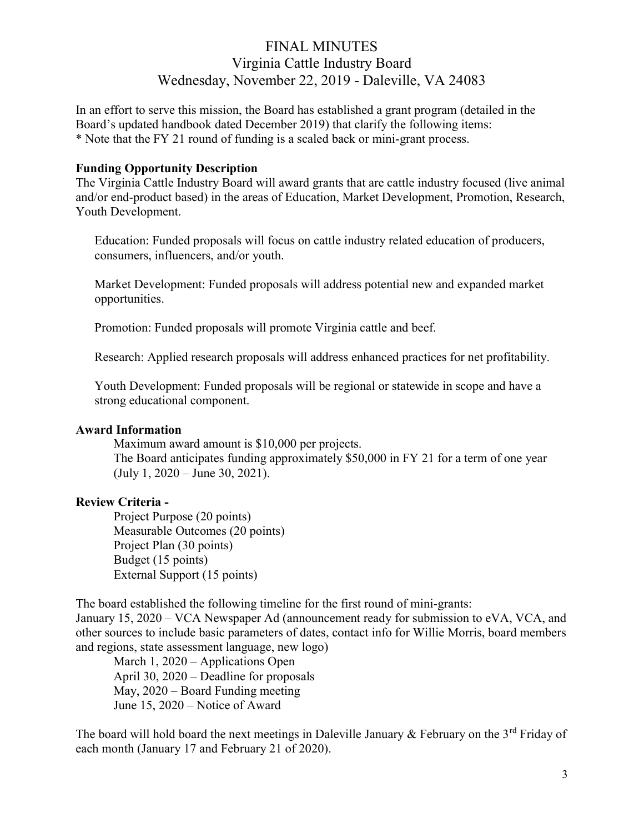In an effort to serve this mission, the Board has established a grant program (detailed in the Board's updated handbook dated December 2019) that clarify the following items: \* Note that the FY 21 round of funding is a scaled back or mini-grant process.

## Funding Opportunity Description

The Virginia Cattle Industry Board will award grants that are cattle industry focused (live animal and/or end-product based) in the areas of Education, Market Development, Promotion, Research, Youth Development.

Education: Funded proposals will focus on cattle industry related education of producers, consumers, influencers, and/or youth.

Market Development: Funded proposals will address potential new and expanded market opportunities.

Promotion: Funded proposals will promote Virginia cattle and beef.

Research: Applied research proposals will address enhanced practices for net profitability.

Youth Development: Funded proposals will be regional or statewide in scope and have a strong educational component.

## Award Information

Maximum award amount is \$10,000 per projects. The Board anticipates funding approximately \$50,000 in FY 21 for a term of one year (July 1, 2020 – June 30, 2021).

## Review Criteria -

Project Purpose (20 points) Measurable Outcomes (20 points) Project Plan (30 points) Budget (15 points) External Support (15 points)

The board established the following timeline for the first round of mini-grants:

January 15, 2020 – VCA Newspaper Ad (announcement ready for submission to eVA, VCA, and other sources to include basic parameters of dates, contact info for Willie Morris, board members and regions, state assessment language, new logo)

March 1, 2020 – Applications Open April 30, 2020 – Deadline for proposals May, 2020 – Board Funding meeting June 15, 2020 – Notice of Award

The board will hold board the next meetings in Daleville January & February on the  $3^{rd}$  Friday of each month (January 17 and February 21 of 2020).